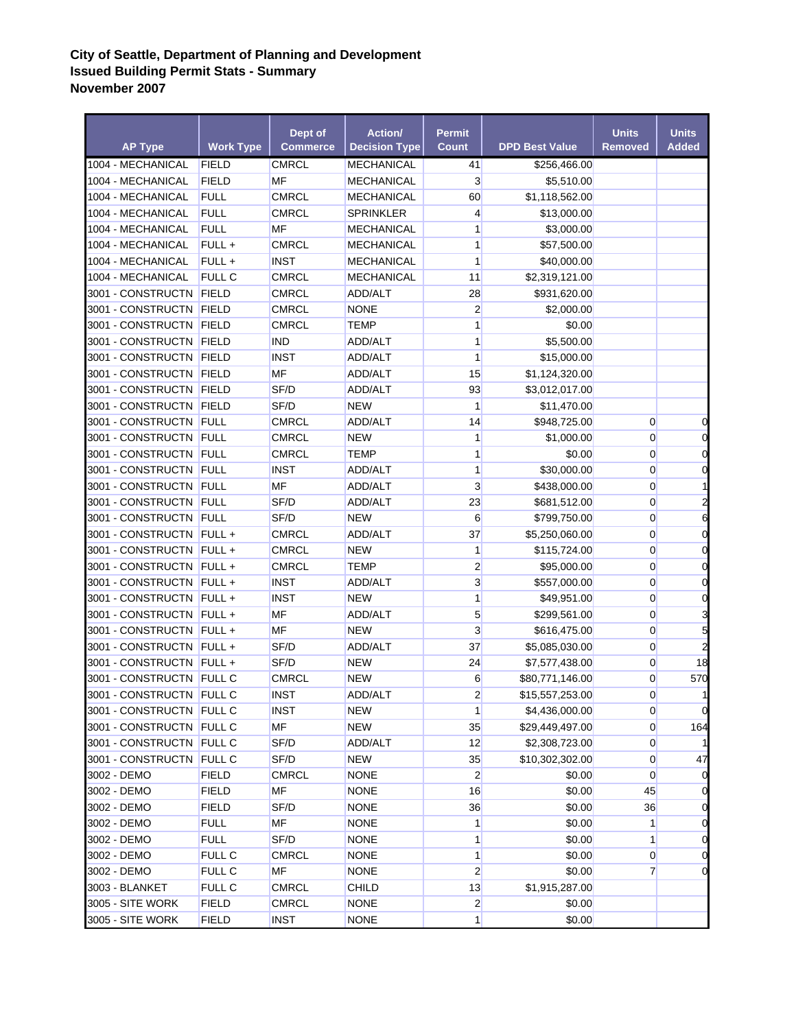## **City of Seattle, Department of Planning and Development Issued Building Permit Stats - Summary November 2007**

| <b>AP Type</b>             | <b>Work Type</b> | Dept of<br><b>Commerce</b> | <b>Action/</b><br><b>Decision Type</b> | <b>Permit</b><br><b>Count</b> | <b>DPD Best Value</b> | <b>Units</b><br><b>Removed</b> | <b>Units</b><br><b>Added</b> |
|----------------------------|------------------|----------------------------|----------------------------------------|-------------------------------|-----------------------|--------------------------------|------------------------------|
| 1004 - MECHANICAL          | <b>FIELD</b>     | <b>CMRCL</b>               | <b>MECHANICAL</b>                      | 41                            | \$256,466.00          |                                |                              |
| 1004 - MECHANICAL          | <b>FIELD</b>     | <b>MF</b>                  | MECHANICAL                             | $\overline{3}$                | \$5,510.00            |                                |                              |
| 1004 - MECHANICAL          | <b>FULL</b>      | <b>CMRCL</b>               | <b>MECHANICAL</b>                      | 60                            | \$1,118,562.00        |                                |                              |
| 1004 - MECHANICAL          | <b>FULL</b>      | <b>CMRCL</b>               | <b>SPRINKLER</b>                       | $\overline{4}$                | \$13,000.00           |                                |                              |
| 1004 - MECHANICAL          | <b>FULL</b>      | MF                         | <b>MECHANICAL</b>                      | 1                             | \$3,000.00            |                                |                              |
| 1004 - MECHANICAL          | FULL +           | <b>CMRCL</b>               | <b>MECHANICAL</b>                      | 1                             | \$57,500.00           |                                |                              |
| 1004 - MECHANICAL          | FULL +           | <b>INST</b>                | <b>MECHANICAL</b>                      | $\mathbf{1}$                  | \$40,000.00           |                                |                              |
| 1004 - MECHANICAL          | FULL C           | <b>CMRCL</b>               | <b>MECHANICAL</b>                      | 11                            | \$2,319,121.00        |                                |                              |
| 3001 - CONSTRUCTN FIELD    |                  | <b>CMRCL</b>               | ADD/ALT                                | 28                            | \$931,620.00          |                                |                              |
| 3001 - CONSTRUCTN FIELD    |                  | <b>CMRCL</b>               | <b>NONE</b>                            | $\overline{2}$                | \$2,000.00            |                                |                              |
| 3001 - CONSTRUCTN FIELD    |                  | <b>CMRCL</b>               | <b>TEMP</b>                            | 1                             | \$0.00                |                                |                              |
| 3001 - CONSTRUCTN FIELD    |                  | <b>IND</b>                 | ADD/ALT                                | 1                             | \$5,500.00            |                                |                              |
| 3001 - CONSTRUCTN FIELD    |                  | <b>INST</b>                | ADD/ALT                                | $\mathbf{1}$                  | \$15,000.00           |                                |                              |
| 3001 - CONSTRUCTN FIELD    |                  | MF                         | ADD/ALT                                | 15                            | \$1,124,320.00        |                                |                              |
| 3001 - CONSTRUCTN FIELD    |                  | SF/D                       | ADD/ALT                                | 93                            | \$3,012,017.00        |                                |                              |
| 3001 - CONSTRUCTN FIELD    |                  | SF/D                       | <b>NEW</b>                             | $\mathbf{1}$                  | \$11,470.00           |                                |                              |
| 3001 - CONSTRUCTN FULL     |                  | <b>CMRCL</b>               | ADD/ALT                                | 14                            | \$948,725.00          | $\mathbf{0}$                   | 0                            |
| 3001 - CONSTRUCTN FULL     |                  | <b>CMRCL</b>               | <b>NEW</b>                             | 1                             | \$1,000.00            | $\overline{0}$                 | 0                            |
| 3001 - CONSTRUCTN FULL     |                  | <b>CMRCL</b>               | <b>TEMP</b>                            | 1                             | \$0.00                | $\overline{0}$                 | $\mathbf 0$                  |
| 3001 - CONSTRUCTN FULL     |                  | <b>INST</b>                | ADD/ALT                                | $\mathbf{1}$                  | \$30,000.00           | $\overline{0}$                 | $\mathbf 0$                  |
| 3001 - CONSTRUCTN FULL     |                  | MF                         | ADD/ALT                                | $\overline{3}$                | \$438,000.00          | $\overline{0}$                 | $\mathbf{1}$                 |
| 3001 - CONSTRUCTN FULL     |                  | SF/D                       | ADD/ALT                                | 23                            | \$681,512.00          | $\overline{0}$                 | $\overline{\mathbf{c}}$      |
| 3001 - CONSTRUCTN FULL     |                  | SF/D                       | <b>NEW</b>                             | 6                             | \$799,750.00          | $\overline{0}$                 | 6                            |
| 3001 - CONSTRUCTN FULL +   |                  | <b>CMRCL</b>               | ADD/ALT                                | 37                            | \$5,250,060.00        | $\overline{0}$                 | $\mathbf 0$                  |
| 3001 - CONSTRUCTN FULL +   |                  | <b>CMRCL</b>               | <b>NEW</b>                             | $\mathbf{1}$                  | \$115,724.00          | $\overline{0}$                 | $\mathbf 0$                  |
| 3001 - CONSTRUCTN FULL +   |                  | <b>CMRCL</b>               | <b>TEMP</b>                            | $\overline{2}$                | \$95,000.00           | $\overline{0}$                 | $\mathbf 0$                  |
| 3001 - CONSTRUCTN   FULL + |                  | <b>INST</b>                | ADD/ALT                                | $\overline{3}$                | \$557,000.00          | $\overline{0}$                 | $\mathbf 0$                  |
| 3001 - CONSTRUCTN   FULL + |                  | <b>INST</b>                | <b>NEW</b>                             | $\mathbf{1}$                  | \$49,951.00           | $\overline{0}$                 | $\mathbf 0$                  |
| 3001 - CONSTRUCTN FULL +   |                  | <b>MF</b>                  | ADD/ALT                                | 5                             | \$299,561.00          | $\overline{0}$                 | 3                            |
| 3001 - CONSTRUCTN FULL +   |                  | <b>MF</b>                  | <b>NEW</b>                             | $\mathbf{3}$                  | \$616,475.00          | $\overline{0}$                 | 5                            |
| 3001 - CONSTRUCTN   FULL + |                  | SF/D                       | ADD/ALT                                | 37                            | \$5,085,030.00        | $\overline{0}$                 | $\overline{a}$               |
| 3001 - CONSTRUCTN FULL +   |                  | SF/D                       | <b>NEW</b>                             | 24                            | \$7,577,438.00        | $\overline{0}$                 | 18                           |
| 3001 - CONSTRUCTN FULL C   |                  | <b>CMRCL</b>               | <b>NEW</b>                             | 6                             | \$80,771,146.00       | $\overline{0}$                 | 570                          |
| 3001 - CONSTRUCTN FULL C   |                  | <b>INST</b>                | ADD/ALT                                | $\overline{2}$                | \$15,557,253.00       | $\overline{0}$                 | $\mathbf{1}$                 |
| 3001 - CONSTRUCTN FULL C   |                  | <b>INST</b>                | <b>NEW</b>                             | $\mathbf{1}$                  | \$4,436,000.00        | $\overline{0}$                 | $\mathbf 0$                  |
| 3001 - CONSTRUCTN FULL C   |                  | MF                         | <b>NEW</b>                             | 35                            | \$29,449,497.00       | $\overline{0}$                 | 164                          |
| 3001 - CONSTRUCTN FULL C   |                  | SF/D                       | ADD/ALT                                | 12                            | \$2,308,723.00        | $\overline{0}$                 | $\mathbf{1}$                 |
| 3001 - CONSTRUCTN FULL C   |                  | SF/D                       | <b>NEW</b>                             | 35                            | \$10,302,302.00       | $\overline{0}$                 | 47                           |
| 3002 - DEMO                | <b>FIELD</b>     | <b>CMRCL</b>               | <b>NONE</b>                            | $\overline{2}$                | \$0.00                | $\overline{0}$                 | $\mathbf 0$                  |
| 3002 - DEMO                | <b>FIELD</b>     | MF                         | <b>NONE</b>                            | 16                            | \$0.00                | 45                             | $\mathbf 0$                  |
| 3002 - DEMO                | <b>FIELD</b>     | SF/D                       | <b>NONE</b>                            | 36                            | \$0.00                | 36                             | $\mathbf 0$                  |
| 3002 - DEMO                | <b>FULL</b>      | MF                         | <b>NONE</b>                            | 1                             | \$0.00                | $\mathbf{1}$                   | $\mathbf 0$                  |
| 3002 - DEMO                | <b>FULL</b>      | SF/D                       | <b>NONE</b>                            | 1                             | \$0.00                | $\mathbf{1}$                   | 0                            |
| 3002 - DEMO                | FULL C           | <b>CMRCL</b>               | <b>NONE</b>                            | $\mathbf{1}$                  | \$0.00                | $\overline{0}$                 | 0                            |
| 3002 - DEMO                | FULL C           | MF                         | <b>NONE</b>                            | $\overline{2}$                | \$0.00                | $\overline{7}$                 | $\mathbf 0$                  |
| 3003 - BLANKET             | FULL C           | <b>CMRCL</b>               | <b>CHILD</b>                           | 13                            | \$1,915,287.00        |                                |                              |
| 3005 - SITE WORK           | <b>FIELD</b>     | <b>CMRCL</b>               | <b>NONE</b>                            | $\mathbf{2}$                  | \$0.00                |                                |                              |
| 3005 - SITE WORK           | <b>FIELD</b>     | <b>INST</b>                | <b>NONE</b>                            | $\mathbf{1}$                  | \$0.00                |                                |                              |